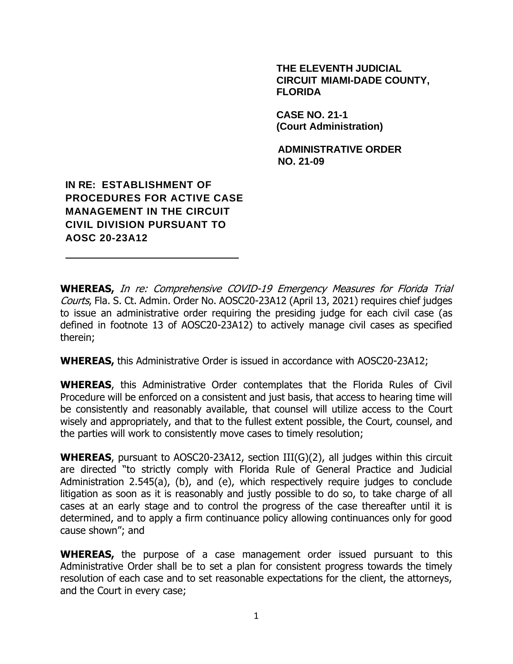#### **THE ELEVENTH JUDICIAL CIRCUIT MIAMI-DADE COUNTY, FLORIDA**

**CASE NO. 21-1 (Court Administration)**

**ADMINISTRATIVE ORDER NO. 21-09**

## **IN RE: ESTABLISHMENT OF PROCEDURES FOR ACTIVE CASE MANAGEMENT IN THE CIRCUIT CIVIL DIVISION PURSUANT TO AOSC 20-23A12**

**WHEREAS,** In re: Comprehensive COVID-19 Emergency Measures for Florida Trial Courts, Fla. S. Ct. Admin. Order No. AOSC20-23A12 (April 13, 2021) requires chief judges to issue an administrative order requiring the presiding judge for each civil case (as defined in footnote 13 of AOSC20-23A12) to actively manage civil cases as specified therein;

**WHEREAS,** this Administrative Order is issued in accordance with AOSC20-23A12;

**WHEREAS**, this Administrative Order contemplates that the Florida Rules of Civil Procedure will be enforced on a consistent and just basis, that access to hearing time will be consistently and reasonably available, that counsel will utilize access to the Court wisely and appropriately, and that to the fullest extent possible, the Court, counsel, and the parties will work to consistently move cases to timely resolution;

**WHEREAS**, pursuant to AOSC20-23A12, section III(G)(2), all judges within this circuit are directed "to strictly comply with Florida Rule of General Practice and Judicial Administration 2.545(a), (b), and (e), which respectively require judges to conclude litigation as soon as it is reasonably and justly possible to do so, to take charge of all cases at an early stage and to control the progress of the case thereafter until it is determined, and to apply a firm continuance policy allowing continuances only for good cause shown"; and

**WHEREAS,** the purpose of a case management order issued pursuant to this Administrative Order shall be to set a plan for consistent progress towards the timely resolution of each case and to set reasonable expectations for the client, the attorneys, and the Court in every case;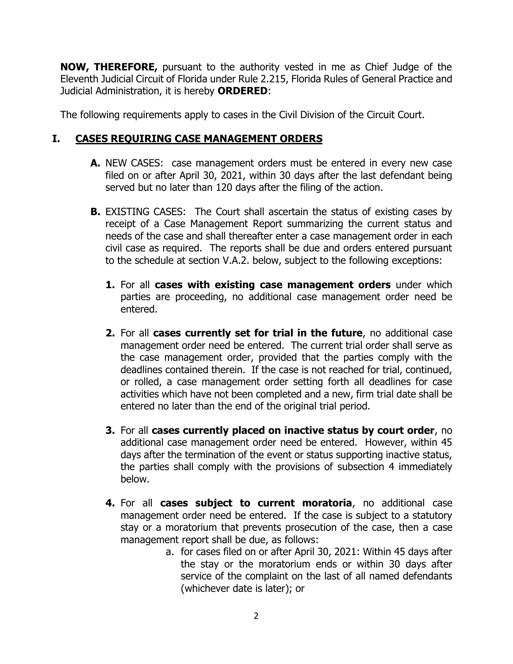**NOW, THEREFORE,** pursuant to the authority vested in me as Chief Judge of the Eleventh Judicial Circuit of Florida under Rule 2.215, Florida Rules of General Practice and Judicial Administration, it is hereby **ORDERED**:

The following requirements apply to cases in the Civil Division of the Circuit Court.

## **I. CASES REQUIRING CASE MANAGEMENT ORDERS**

- **A.** NEW CASES: case management orders must be entered in every new case filed on or after April 30, 2021, within 30 days after the last defendant being served but no later than 120 days after the filing of the action.
- **B.** EXISTING CASES: The Court shall ascertain the status of existing cases by receipt of a Case Management Report summarizing the current status and needs of the case and shall thereafter enter a case management order in each civil case as required. The reports shall be due and orders entered pursuant to the schedule at section V.A.2. below, subject to the following exceptions:
	- **1.** For all **cases with existing case management orders** under which parties are proceeding, no additional case management order need be entered.
	- **2.** For all **cases currently set for trial in the future**, no additional case management order need be entered. The current trial order shall serve as the case management order, provided that the parties comply with the deadlines contained therein. If the case is not reached for trial, continued, or rolled, a case management order setting forth all deadlines for case activities which have not been completed and a new, firm trial date shall be entered no later than the end of the original trial period.
	- **3.** For all **cases currently placed on inactive status by court order**, no additional case management order need be entered. However, within 45 days after the termination of the event or status supporting inactive status, the parties shall comply with the provisions of subsection 4 immediately below.
	- **4.** For all **cases subject to current moratoria**, no additional case management order need be entered. If the case is subject to a statutory stay or a moratorium that prevents prosecution of the case, then a case management report shall be due, as follows:
		- a. for cases filed on or after April 30, 2021: Within 45 days after the stay or the moratorium ends or within 30 days after service of the complaint on the last of all named defendants (whichever date is later); or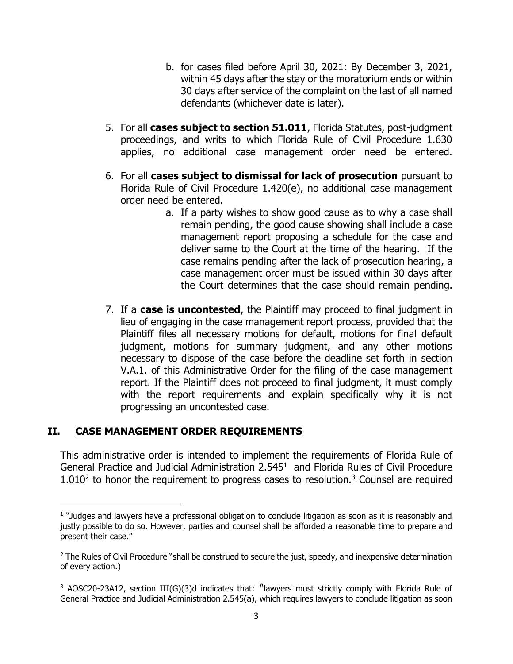- b. for cases filed before April 30, 2021: By December 3, 2021, within 45 days after the stay or the moratorium ends or within 30 days after service of the complaint on the last of all named defendants (whichever date is later).
- 5. For all **cases subject to section 51.011**, Florida Statutes, post-judgment proceedings, and writs to which Florida Rule of Civil Procedure 1.630 applies, no additional case management order need be entered.
- 6. For all **cases subject to dismissal for lack of prosecution** pursuant to Florida Rule of Civil Procedure 1.420(e), no additional case management order need be entered.
	- a. If a party wishes to show good cause as to why a case shall remain pending, the good cause showing shall include a case management report proposing a schedule for the case and deliver same to the Court at the time of the hearing. If the case remains pending after the lack of prosecution hearing, a case management order must be issued within 30 days after the Court determines that the case should remain pending.
- 7. If a **case is uncontested**, the Plaintiff may proceed to final judgment in lieu of engaging in the case management report process, provided that the Plaintiff files all necessary motions for default, motions for final default judgment, motions for summary judgment, and any other motions necessary to dispose of the case before the deadline set forth in section V.A.1. of this Administrative Order for the filing of the case management report. If the Plaintiff does not proceed to final judgment, it must comply with the report requirements and explain specifically why it is not progressing an uncontested case.

## **II. CASE MANAGEMENT ORDER REQUIREMENTS**

This administrative order is intended to implement the requirements of Florida Rule of General Practice and Judicial Administration 2.545<sup>1</sup> and Florida Rules of Civil Procedure  $1.010<sup>2</sup>$  to honor the requirement to progress cases to resolution.<sup>3</sup> Counsel are required

<sup>&</sup>lt;sup>1</sup> "Judges and lawyers have a professional obligation to conclude litigation as soon as it is reasonably and justly possible to do so. However, parties and counsel shall be afforded a reasonable time to prepare and present their case."

<sup>&</sup>lt;sup>2</sup> The Rules of Civil Procedure "shall be construed to secure the just, speedy, and inexpensive determination of every action.)

<sup>&</sup>lt;sup>3</sup> AOSC20-23A12, section III(G)(3)d indicates that: "lawyers must strictly comply with Florida Rule of General Practice and Judicial Administration 2.545(a), which requires lawyers to conclude litigation as soon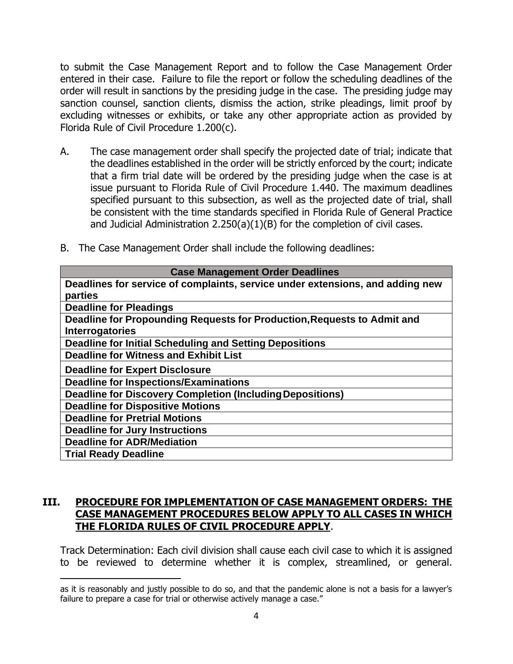to submit the Case Management Report and to follow the Case Management Order entered in their case. Failure to file the report or follow the scheduling deadlines of the order will result in sanctions by the presiding judge in the case. The presiding judge may sanction counsel, sanction clients, dismiss the action, strike pleadings, limit proof by excluding witnesses or exhibits, or take any other appropriate action as provided by Florida Rule of Civil Procedure 1.200(c).

A. The case management order shall specify the projected date of trial; indicate that the deadlines established in the order will be strictly enforced by the court; indicate that a firm trial date will be ordered by the presiding judge when the case is at issue pursuant to Florida Rule of Civil Procedure 1.440. The maximum deadlines specified pursuant to this subsection, as well as the projected date of trial, shall be consistent with the time standards specified in Florida Rule of General Practice and Judicial Administration 2.250(a)(1)(B) for the completion of civil cases.

|  | B. The Case Management Order shall include the following deadlines: |  |  |
|--|---------------------------------------------------------------------|--|--|
|  |                                                                     |  |  |

| <b>Case Management Order Deadlines</b>                                        |
|-------------------------------------------------------------------------------|
| Deadlines for service of complaints, service under extensions, and adding new |
| parties                                                                       |
| <b>Deadline for Pleadings</b>                                                 |
| Deadline for Propounding Requests for Production, Requests to Admit and       |
| <b>Interrogatories</b>                                                        |
| Deadline for Initial Scheduling and Setting Depositions                       |
| <b>Deadline for Witness and Exhibit List</b>                                  |
| <b>Deadline for Expert Disclosure</b>                                         |
| <b>Deadline for Inspections/Examinations</b>                                  |
| <b>Deadline for Discovery Completion (Including Depositions)</b>              |
| <b>Deadline for Dispositive Motions</b>                                       |
| <b>Deadline for Pretrial Motions</b>                                          |
| <b>Deadline for Jury Instructions</b>                                         |
| <b>Deadline for ADR/Mediation</b>                                             |
| <b>Trial Ready Deadline</b>                                                   |

## **III. PROCEDURE FOR IMPLEMENTATION OF CASE MANAGEMENT ORDERS: THE CASE MANAGEMENT PROCEDURES BELOW APPLY TO ALL CASES IN WHICH THE FLORIDA RULES OF CIVIL PROCEDURE APPLY**.

Track Determination: Each civil division shall cause each civil case to which it is assigned to be reviewed to determine whether it is complex, streamlined, or general.

as it is reasonably and justly possible to do so, and that the pandemic alone is not a basis for a lawyer's failure to prepare a case for trial or otherwise actively manage a case."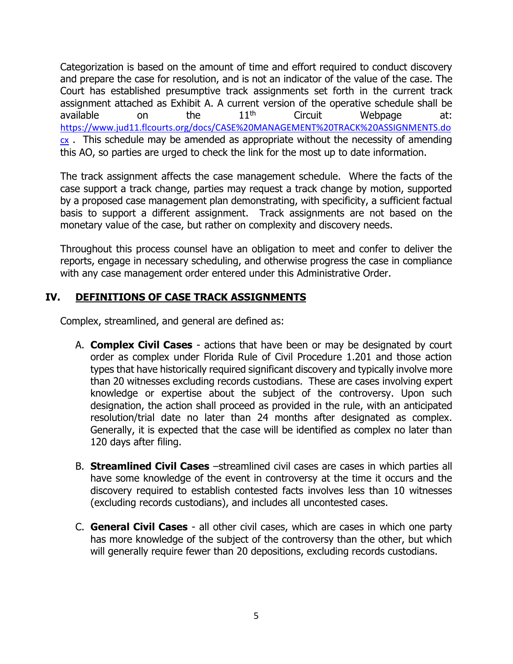Categorization is based on the amount of time and effort required to conduct discovery and prepare the case for resolution, and is not an indicator of the value of the case. The Court has established presumptive track assignments set forth in the current track assignment attached as Exhibit A. A current version of the operative schedule shall be available on the  $11<sup>th</sup>$  Circuit Webpage at: [https://www.jud11.flcourts.org/docs/CASE%20MANAGEMENT%20TRACK%20ASSIGNMENTS.do](https://www.jud11.flcourts.org/docs/CASE%20MANAGEMENT%20TRACK%20ASSIGNMENTS.docx)  $cx$ . This schedule may be amended as appropriate without the necessity of amending this AO, so parties are urged to check the link for the most up to date information.

The track assignment affects the case management schedule. Where the facts of the case support a track change, parties may request a track change by motion, supported by a proposed case management plan demonstrating, with specificity, a sufficient factual basis to support a different assignment. Track assignments are not based on the monetary value of the case, but rather on complexity and discovery needs.

Throughout this process counsel have an obligation to meet and confer to deliver the reports, engage in necessary scheduling, and otherwise progress the case in compliance with any case management order entered under this Administrative Order.

## **IV. DEFINITIONS OF CASE TRACK ASSIGNMENTS**

Complex, streamlined, and general are defined as:

- A. **Complex Civil Cases** actions that have been or may be designated by court order as complex under Florida Rule of Civil Procedure 1.201 and those action types that have historically required significant discovery and typically involve more than 20 witnesses excluding records custodians. These are cases involving expert knowledge or expertise about the subject of the controversy. Upon such designation, the action shall proceed as provided in the rule, with an anticipated resolution/trial date no later than 24 months after designated as complex. Generally, it is expected that the case will be identified as complex no later than 120 days after filing.
- B. **Streamlined Civil Cases** –streamlined civil cases are cases in which parties all have some knowledge of the event in controversy at the time it occurs and the discovery required to establish contested facts involves less than 10 witnesses (excluding records custodians), and includes all uncontested cases.
- C. **General Civil Cases** all other civil cases, which are cases in which one party has more knowledge of the subject of the controversy than the other, but which will generally require fewer than 20 depositions, excluding records custodians.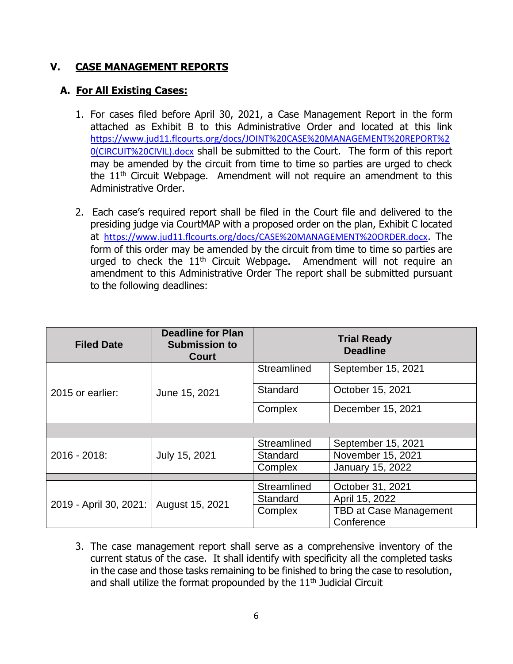### **V. CASE MANAGEMENT REPORTS**

## **A. For All Existing Cases:**

- 1. For cases filed before April 30, 2021, a Case Management Report in the form attached as Exhibit B to this Administrative Order and located at this link [https://www.jud11.flcourts.org/docs/JOINT%20CASE%20MANAGEMENT%20REPORT%2](https://www.jud11.flcourts.org/docs/JOINT%20CASE%20MANAGEMENT%20REPORT%20(CIRCUIT%20CIVIL).docx) [0\(CIRCUIT%20CIVIL\).docx](https://www.jud11.flcourts.org/docs/JOINT%20CASE%20MANAGEMENT%20REPORT%20(CIRCUIT%20CIVIL).docx) shall be submitted to the Court. The form of this report may be amended by the circuit from time to time so parties are urged to check the  $11<sup>th</sup>$  Circuit Webpage. Amendment will not require an amendment to this Administrative Order.
- 2. Each case's required report shall be filed in the Court file and delivered to the presiding judge via CourtMAP with a proposed order on the plan, Exhibit C located at <https://www.jud11.flcourts.org/docs/CASE%20MANAGEMENT%20ORDER.docx>. The form of this order may be amended by the circuit from time to time so parties are urged to check the  $11<sup>th</sup>$  Circuit Webpage. Amendment will not require an amendment to this Administrative Order The report shall be submitted pursuant to the following deadlines:

| <b>Filed Date</b>      | <b>Deadline for Plan</b><br><b>Submission to</b><br><b>Court</b> |             | <b>Trial Ready</b><br><b>Deadline</b> |
|------------------------|------------------------------------------------------------------|-------------|---------------------------------------|
|                        |                                                                  | Streamlined | September 15, 2021                    |
| 2015 or earlier:       | June 15, 2021                                                    | Standard    | October 15, 2021                      |
|                        |                                                                  | Complex     | December 15, 2021                     |
|                        |                                                                  |             |                                       |
|                        |                                                                  | Streamlined | September 15, 2021                    |
| 2016 - 2018:           | July 15, 2021                                                    | Standard    | November 15, 2021                     |
|                        |                                                                  | Complex     | <b>January 15, 2022</b>               |
|                        |                                                                  |             |                                       |
|                        |                                                                  | Streamlined | October 31, 2021                      |
| 2019 - April 30, 2021: |                                                                  | Standard    | April 15, 2022                        |
|                        | August 15, 2021                                                  | Complex     | <b>TBD at Case Management</b>         |
|                        |                                                                  |             | Conference                            |

3. The case management report shall serve as a comprehensive inventory of the current status of the case. It shall identify with specificity all the completed tasks in the case and those tasks remaining to be finished to bring the case to resolution, and shall utilize the format propounded by the  $11<sup>th</sup>$  Judicial Circuit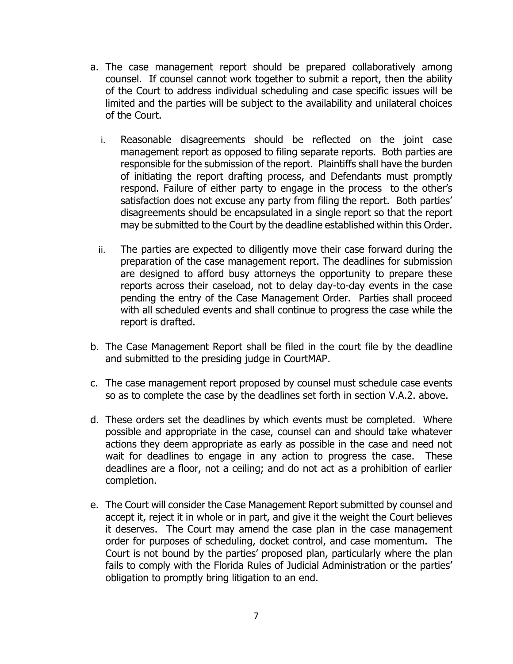- a. The case management report should be prepared collaboratively among counsel. If counsel cannot work together to submit a report, then the ability of the Court to address individual scheduling and case specific issues will be limited and the parties will be subject to the availability and unilateral choices of the Court.
	- i. Reasonable disagreements should be reflected on the joint case management report as opposed to filing separate reports. Both parties are responsible for the submission of the report. Plaintiffs shall have the burden of initiating the report drafting process, and Defendants must promptly respond. Failure of either party to engage in the process to the other's satisfaction does not excuse any party from filing the report. Both parties' disagreements should be encapsulated in a single report so that the report may be submitted to the Court by the deadline established within this Order.
	- ii. The parties are expected to diligently move their case forward during the preparation of the case management report. The deadlines for submission are designed to afford busy attorneys the opportunity to prepare these reports across their caseload, not to delay day-to-day events in the case pending the entry of the Case Management Order. Parties shall proceed with all scheduled events and shall continue to progress the case while the report is drafted.
- b. The Case Management Report shall be filed in the court file by the deadline and submitted to the presiding judge in CourtMAP.
- c. The case management report proposed by counsel must schedule case events so as to complete the case by the deadlines set forth in section V.A.2. above.
- d. These orders set the deadlines by which events must be completed. Where possible and appropriate in the case, counsel can and should take whatever actions they deem appropriate as early as possible in the case and need not wait for deadlines to engage in any action to progress the case. These deadlines are a floor, not a ceiling; and do not act as a prohibition of earlier completion.
- e. The Court will consider the Case Management Report submitted by counsel and accept it, reject it in whole or in part, and give it the weight the Court believes it deserves. The Court may amend the case plan in the case management order for purposes of scheduling, docket control, and case momentum. The Court is not bound by the parties' proposed plan, particularly where the plan fails to comply with the Florida Rules of Judicial Administration or the parties' obligation to promptly bring litigation to an end.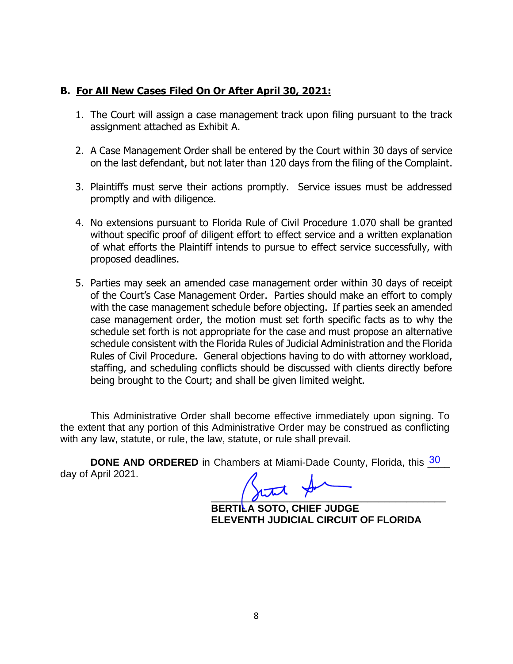### **B. For All New Cases Filed On Or After April 30, 2021:**

- 1. The Court will assign a case management track upon filing pursuant to the track assignment attached as Exhibit A.
- 2. A Case Management Order shall be entered by the Court within 30 days of service on the last defendant, but not later than 120 days from the filing of the Complaint.
- 3. Plaintiffs must serve their actions promptly. Service issues must be addressed promptly and with diligence.
- 4. No extensions pursuant to Florida Rule of Civil Procedure 1.070 shall be granted without specific proof of diligent effort to effect service and a written explanation of what efforts the Plaintiff intends to pursue to effect service successfully, with proposed deadlines.
- 5. Parties may seek an amended case management order within 30 days of receipt of the Court's Case Management Order. Parties should make an effort to comply with the case management schedule before objecting. If parties seek an amended case management order, the motion must set forth specific facts as to why the schedule set forth is not appropriate for the case and must propose an alternative schedule consistent with the Florida Rules of Judicial Administration and the Florida Rules of Civil Procedure. General objections having to do with attorney workload, staffing, and scheduling conflicts should be discussed with clients directly before being brought to the Court; and shall be given limited weight.

This Administrative Order shall become effective immediately upon signing. To the extent that any portion of this Administrative Order may be construed as conflicting with any law, statute, or rule, the law, statute, or rule shall prevail.

**DONE AND ORDERED** in Chambers at Miami-Dade County, Florida, this 30 day of April 2021.

 $\frac{1}{2}$ 

**BERTILA SOTO, CHIEF JUDGE ELEVENTH JUDICIAL CIRCUIT OF FLORIDA**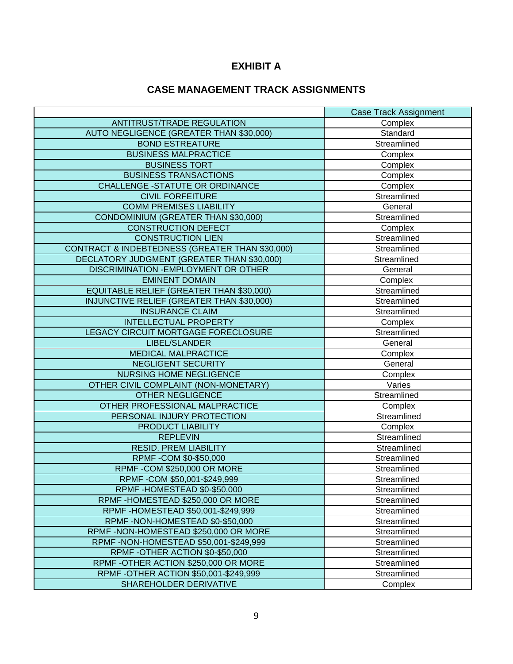## **EXHIBIT A**

## **CASE MANAGEMENT TRACK ASSIGNMENTS**

|                                                 | <b>Case Track Assignment</b> |
|-------------------------------------------------|------------------------------|
| ANTITRUST/TRADE REGULATION                      | Complex                      |
| AUTO NEGLIGENCE (GREATER THAN \$30,000)         | Standard                     |
| <b>BOND ESTREATURE</b>                          | Streamlined                  |
| <b>BUSINESS MALPRACTICE</b>                     | Complex                      |
| <b>BUSINESS TORT</b>                            | Complex                      |
| <b>BUSINESS TRANSACTIONS</b>                    | Complex                      |
| <b>CHALLENGE -STATUTE OR ORDINANCE</b>          | Complex                      |
| <b>CIVIL FORFEITURE</b>                         | Streamlined                  |
| <b>COMM PREMISES LIABILITY</b>                  | General                      |
| <b>CONDOMINIUM (GREATER THAN \$30,000)</b>      | Streamlined                  |
| <b>CONSTRUCTION DEFECT</b>                      | Complex                      |
| <b>CONSTRUCTION LIEN</b>                        | Streamlined                  |
| CONTRACT & INDEBTEDNESS (GREATER THAN \$30,000) | Streamlined                  |
| DECLATORY JUDGMENT (GREATER THAN \$30,000)      | Streamlined                  |
| DISCRIMINATION - EMPLOYMENT OR OTHER            | General                      |
| <b>EMINENT DOMAIN</b>                           | Complex                      |
| EQUITABLE RELIEF (GREATER THAN \$30,000)        | Streamlined                  |
| INJUNCTIVE RELIEF (GREATER THAN \$30,000)       | Streamlined                  |
| <b>INSURANCE CLAIM</b>                          | Streamlined                  |
| <b>INTELLECTUAL PROPERTY</b>                    | Complex                      |
| LEGACY CIRCUIT MORTGAGE FORECLOSURE             | Streamlined                  |
| LIBEL/SLANDER                                   | General                      |
| <b>MEDICAL MALPRACTICE</b>                      | Complex                      |
| NEGLIGENT SECURITY                              | General                      |
| <b>NURSING HOME NEGLIGENCE</b>                  | Complex                      |
| OTHER CIVIL COMPLAINT (NON-MONETARY)            | Varies                       |
| <b>OTHER NEGLIGENCE</b>                         | Streamlined                  |
| OTHER PROFESSIONAL MALPRACTICE                  | Complex                      |
| PERSONAL INJURY PROTECTION                      | Streamlined                  |
| PRODUCT LIABILITY                               | Complex                      |
| <b>REPLEVIN</b>                                 | Streamlined                  |
| <b>RESID. PREM LIABILITY</b>                    | Streamlined                  |
| RPMF-COM \$0-\$50,000                           | Streamlined                  |
| <b>RPMF-COM \$250,000 OR MORE</b>               | Streamlined                  |
| RPMF-COM \$50,001-\$249,999                     | Streamlined                  |
| RPMF-HOMESTEAD \$0-\$50,000                     | Streamlined                  |
| RPMF-HOMESTEAD \$250,000 OR MORE                | Streamlined                  |
| RPMF-HOMESTEAD \$50,001-\$249,999               | Streamlined                  |
| RPMF-NON-HOMESTEAD \$0-\$50,000                 | Streamlined                  |
| RPMF-NON-HOMESTEAD \$250,000 OR MORE            | Streamlined                  |
| RPMF-NON-HOMESTEAD \$50,001-\$249,999           | Streamlined                  |
| RPMF-OTHER ACTION \$0-\$50,000                  | Streamlined                  |
| RPMF-OTHER ACTION \$250,000 OR MORE             | Streamlined                  |
| RPMF - OTHER ACTION \$50,001-\$249,999          | Streamlined                  |
| SHAREHOLDER DERIVATIVE                          | Complex                      |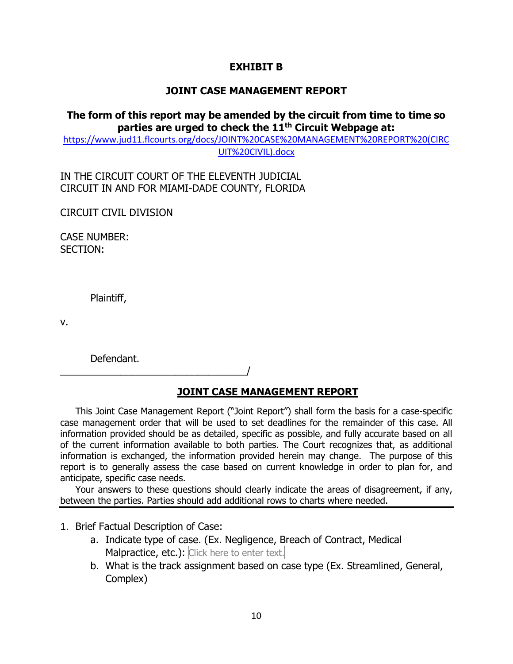### **EXHIBIT B**

### **JOINT CASE MANAGEMENT REPORT**

### **The form of this report may be amended by the circuit from time to time so parties are urged to check the 11th Circuit Webpage at:**

[https://www.jud11.flcourts.org/docs/JOINT%20CASE%20MANAGEMENT%20REPORT%20\(CIRC](https://www.jud11.flcourts.org/docs/JOINT%20CASE%20MANAGEMENT%20REPORT%20(CIRCUIT%20CIVIL).docx) [UIT%20CIVIL\).docx](https://www.jud11.flcourts.org/docs/JOINT%20CASE%20MANAGEMENT%20REPORT%20(CIRCUIT%20CIVIL).docx)

IN THE CIRCUIT COURT OF THE ELEVENTH JUDICIAL CIRCUIT IN AND FOR MIAMI-DADE COUNTY, FLORIDA

CIRCUIT CIVIL DIVISION

CASE NUMBER: SECTION:

Plaintiff,

v.

Defendant.

\_\_\_\_\_\_\_\_\_\_\_\_\_\_\_\_\_\_\_\_\_\_\_\_\_\_\_\_\_\_\_\_\_\_/

## **JOINT CASE MANAGEMENT REPORT**

This Joint Case Management Report ("Joint Report") shall form the basis for a case-specific case management order that will be used to set deadlines for the remainder of this case. All information provided should be as detailed, specific as possible, and fully accurate based on all of the current information available to both parties. The Court recognizes that, as additional information is exchanged, the information provided herein may change. The purpose of this report is to generally assess the case based on current knowledge in order to plan for, and anticipate, specific case needs.

Your answers to these questions should clearly indicate the areas of disagreement, if any, between the parties. Parties should add additional rows to charts where needed.

#### 1. Brief Factual Description of Case:

- a. Indicate type of case. (Ex. Negligence, Breach of Contract, Medical Malpractice, etc.): Click here to enter text.
- b. What is the track assignment based on case type (Ex. Streamlined, General, Complex)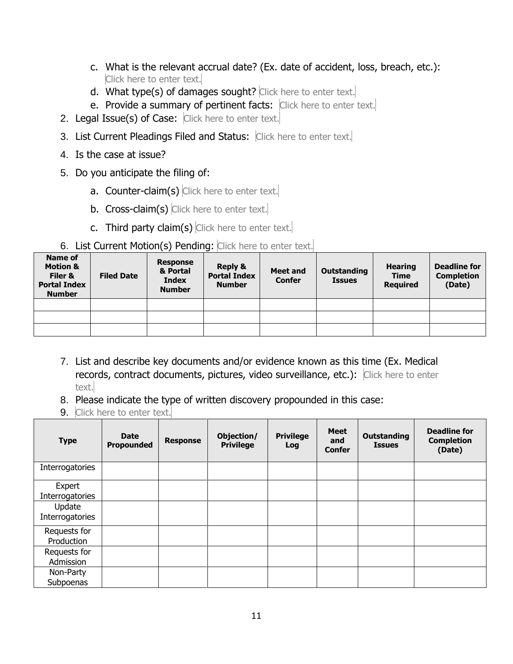- c. What is the relevant accrual date? (Ex. date of accident, loss, breach, etc.): Click here to enter text.
- d. What type(s) of damages sought? Click here to enter text.
- e. Provide a summary of pertinent facts: Click here to enter text.
- 2. Legal Issue(s) of Case: Click here to enter text.
- 3. List Current Pleadings Filed and Status: Click here to enter text.
- 4. Is the case at issue?
- 5. Do you anticipate the filing of:
	- a. Counter-claim(s) Click here to enter text.
	- b. Cross-claim(s) Click here to enter text.
	- c. Third party claim(s) Click here to enter text.

# 6. List Current Motion(s) Pending: Click here to enter text.

| Name of<br><b>Motion &amp;</b><br>Filer &<br><b>Portal Index</b><br><b>Number</b> | <b>Filed Date</b> | <b>Response</b><br>& Portal<br><b>Index</b><br><b>Number</b> | <b>Reply &amp;</b><br><b>Portal Index</b><br><b>Number</b> | <b>Meet and</b><br><b>Confer</b> | Outstanding<br><b>Issues</b> | <b>Hearing</b><br><b>Time</b><br><b>Required</b> | <b>Deadline for</b><br><b>Completion</b><br>(Date) |
|-----------------------------------------------------------------------------------|-------------------|--------------------------------------------------------------|------------------------------------------------------------|----------------------------------|------------------------------|--------------------------------------------------|----------------------------------------------------|
|                                                                                   |                   |                                                              |                                                            |                                  |                              |                                                  |                                                    |
|                                                                                   |                   |                                                              |                                                            |                                  |                              |                                                  |                                                    |
|                                                                                   |                   |                                                              |                                                            |                                  |                              |                                                  |                                                    |

- 7. List and describe key documents and/or evidence known as this time (Ex. Medical records, contract documents, pictures, video surveillance, etc.): Click here to enter text.
- 8. Please indicate the type of written discovery propounded in this case:
- 9. Click here to enter text.

| <b>Type</b>                | <b>Date</b><br><b>Propounded</b> | <b>Response</b> | Objection/<br><b>Privilege</b> | <b>Privilege</b><br>Log | <b>Meet</b><br>and<br><b>Confer</b> | <b>Outstanding</b><br><b>Issues</b> | <b>Deadline for</b><br><b>Completion</b><br>(Date) |
|----------------------------|----------------------------------|-----------------|--------------------------------|-------------------------|-------------------------------------|-------------------------------------|----------------------------------------------------|
| Interrogatories            |                                  |                 |                                |                         |                                     |                                     |                                                    |
| Expert<br>Interrogatories  |                                  |                 |                                |                         |                                     |                                     |                                                    |
| Update<br>Interrogatories  |                                  |                 |                                |                         |                                     |                                     |                                                    |
| Requests for<br>Production |                                  |                 |                                |                         |                                     |                                     |                                                    |
| Requests for<br>Admission  |                                  |                 |                                |                         |                                     |                                     |                                                    |
| Non-Party<br>Subpoenas     |                                  |                 |                                |                         |                                     |                                     |                                                    |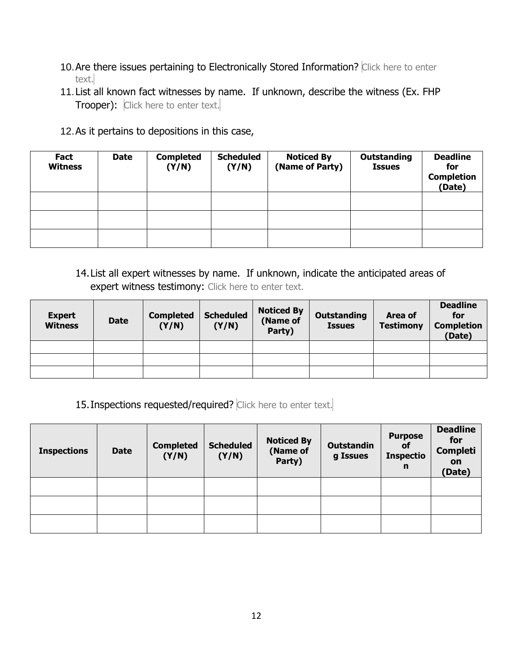- 10. Are there issues pertaining to Electronically Stored Information? Click here to enter text.
- 11.List all known fact witnesses by name. If unknown, describe the witness (Ex. FHP Trooper): Click here to enter text.
- 12.As it pertains to depositions in this case,

| Fact<br><b>Witness</b> | <b>Date</b> | <b>Completed</b><br>(Y/N) | <b>Scheduled</b><br>(Y/N) | <b>Noticed By</b><br>(Name of Party) | <b>Outstanding</b><br><b>Issues</b> | <b>Deadline</b><br>for<br><b>Completion</b><br>(Date) |
|------------------------|-------------|---------------------------|---------------------------|--------------------------------------|-------------------------------------|-------------------------------------------------------|
|                        |             |                           |                           |                                      |                                     |                                                       |
|                        |             |                           |                           |                                      |                                     |                                                       |
|                        |             |                           |                           |                                      |                                     |                                                       |

## 14.List all expert witnesses by name. If unknown, indicate the anticipated areas of expert witness testimony: Click here to enter text.

| <b>Expert</b><br><b>Witness</b> | <b>Date</b> | <b>Completed</b><br>(Y/N) | <b>Scheduled</b><br>(Y/N) | <b>Noticed By</b><br>(Name of<br>Party) | Outstanding<br><b>Issues</b> | Area of<br><b>Testimony</b> | <b>Deadline</b><br>for<br><b>Completion</b><br>(Date) |
|---------------------------------|-------------|---------------------------|---------------------------|-----------------------------------------|------------------------------|-----------------------------|-------------------------------------------------------|
|                                 |             |                           |                           |                                         |                              |                             |                                                       |
|                                 |             |                           |                           |                                         |                              |                             |                                                       |
|                                 |             |                           |                           |                                         |                              |                             |                                                       |

15. Inspections requested/required? Click here to enter text.

| <b>Inspections</b> | <b>Date</b> | <b>Completed</b><br>(Y/N) | <b>Scheduled</b><br>(Y/N) | <b>Noticed By</b><br>(Name of<br>Party) | <b>Outstandin</b><br>g Issues | <b>Purpose</b><br><b>of</b><br><b>Inspectio</b><br>n | <b>Deadline</b><br>for<br><b>Completi</b><br><b>on</b><br>(Date) |
|--------------------|-------------|---------------------------|---------------------------|-----------------------------------------|-------------------------------|------------------------------------------------------|------------------------------------------------------------------|
|                    |             |                           |                           |                                         |                               |                                                      |                                                                  |
|                    |             |                           |                           |                                         |                               |                                                      |                                                                  |
|                    |             |                           |                           |                                         |                               |                                                      |                                                                  |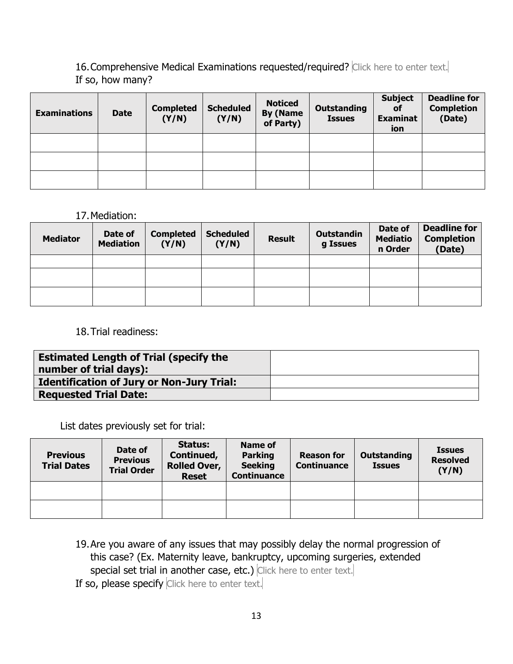16. Comprehensive Medical Examinations requested/required? Click here to enter text. If so, how many?

| <b>Examinations</b> | <b>Date</b> | <b>Completed</b><br>(Y/N) | <b>Scheduled</b><br>(Y/N) | <b>Noticed</b><br><b>By (Name</b><br>of Party) | <b>Outstanding</b><br><b>Issues</b> | <b>Subject</b><br><b>of</b><br><b>Examinat</b><br>ion | <b>Deadline for</b><br><b>Completion</b><br>(Date) |
|---------------------|-------------|---------------------------|---------------------------|------------------------------------------------|-------------------------------------|-------------------------------------------------------|----------------------------------------------------|
|                     |             |                           |                           |                                                |                                     |                                                       |                                                    |
|                     |             |                           |                           |                                                |                                     |                                                       |                                                    |
|                     |             |                           |                           |                                                |                                     |                                                       |                                                    |

#### 17.Mediation:

| <b>Mediator</b> | Date of<br><b>Mediation</b> | <b>Completed</b><br>(Y/N) | <b>Scheduled</b><br>(Y/N) | <b>Result</b> | <b>Outstandin</b><br>g Issues | Date of<br><b>Mediatio</b><br>n Order | <b>Deadline for</b><br><b>Completion</b><br>(Date) |
|-----------------|-----------------------------|---------------------------|---------------------------|---------------|-------------------------------|---------------------------------------|----------------------------------------------------|
|                 |                             |                           |                           |               |                               |                                       |                                                    |
|                 |                             |                           |                           |               |                               |                                       |                                                    |
|                 |                             |                           |                           |               |                               |                                       |                                                    |

### 18.Trial readiness:

| <b>Estimated Length of Trial (specify the</b><br>number of trial days): |  |
|-------------------------------------------------------------------------|--|
| <b>Identification of Jury or Non-Jury Trial:</b>                        |  |
| <b>Requested Trial Date:</b>                                            |  |

List dates previously set for trial:

| <b>Previous</b><br><b>Trial Dates</b> | Date of<br><b>Previous</b><br><b>Trial Order</b> | <b>Status:</b><br>Continued,<br><b>Rolled Over,</b><br><b>Reset</b> | Name of<br><b>Parking</b><br><b>Seeking</b><br><b>Continuance</b> | <b>Reason for</b><br><b>Continuance</b> | Outstanding<br><b>Issues</b> | <b>Issues</b><br><b>Resolved</b><br>(Y/N) |
|---------------------------------------|--------------------------------------------------|---------------------------------------------------------------------|-------------------------------------------------------------------|-----------------------------------------|------------------------------|-------------------------------------------|
|                                       |                                                  |                                                                     |                                                                   |                                         |                              |                                           |
|                                       |                                                  |                                                                     |                                                                   |                                         |                              |                                           |

19.Are you aware of any issues that may possibly delay the normal progression of this case? (Ex. Maternity leave, bankruptcy, upcoming surgeries, extended special set trial in another case, etc.) Click here to enter text. If so, please specify Click here to enter text.

13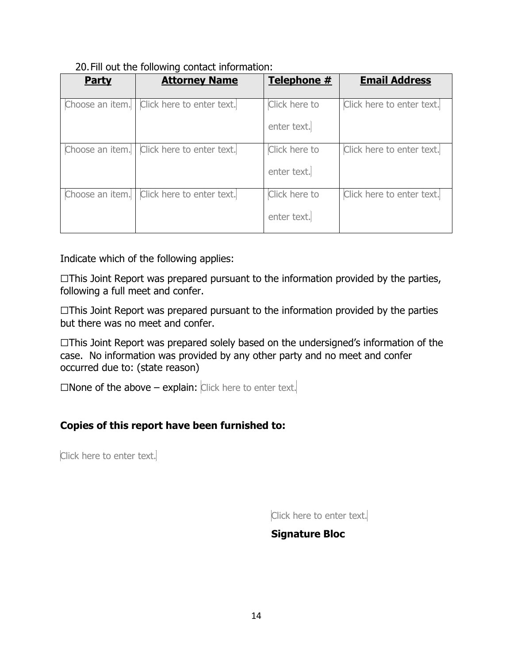### 20.Fill out the following contact information:

| <b>Party</b>    | <b>Attorney Name</b>      | Telephone #                  | <b>Email Address</b>      |
|-----------------|---------------------------|------------------------------|---------------------------|
| Choose an item. | Click here to enter text. | Click here to<br>enter text. | Click here to enter text. |
| Choose an item. | Click here to enter text. | Click here to<br>enter text. | Click here to enter text. |
| Choose an item. | Click here to enter text. | Click here to<br>enter text. | Click here to enter text. |

Indicate which of the following applies:

 $\Box$ This Joint Report was prepared pursuant to the information provided by the parties, following a full meet and confer.

 $\Box$ This Joint Report was prepared pursuant to the information provided by the parties but there was no meet and confer.

☐This Joint Report was prepared solely based on the undersigned's information of the case. No information was provided by any other party and no meet and confer occurred due to: (state reason)

□None of the above – explain: Click here to enter text.

## **Copies of this report have been furnished to:**

Click here to enter text.

Click here to enter text.

## **Signature Bloc**